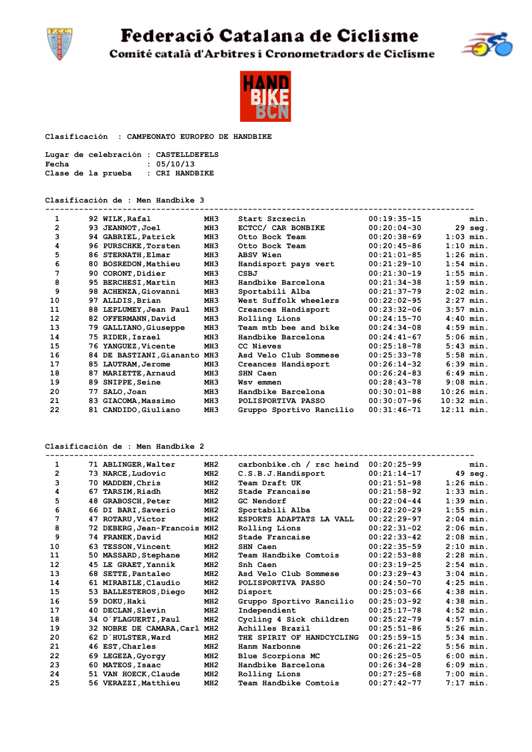Federació Catalana de Ciclisme



Comité català d'Arbitres i Cronometradors de Ciclisme



 **Clasificación : CAMPEONATO EUROPEO DE HANDBIKE** 

| Lugar de celebración : CASTELLDEFELS |                |
|--------------------------------------|----------------|
| Fecha                                | : 05/10/13     |
| Clase de la prueba                   | : CRI HANDBIKE |

**Clasificación de : Men Handbike 3**

| 1              |    | 92 WILK, Rafal           | MH3             | Start Szczecin           | $00:19:35-15$ |              | min.        |
|----------------|----|--------------------------|-----------------|--------------------------|---------------|--------------|-------------|
| $\overline{2}$ |    | 93 JEANNOT, Joel         | MH <sub>3</sub> | ECTCC/ CAR BONBIKE       | $00:20:04-30$ | 29           | seg.        |
| 3              |    | 94 GABRIEL, Patrick      | MH3             | Otto Bock Team           | $00:20:38-69$ |              | $1:03$ min. |
| 4              |    | 96 PURSCHKE, Torsten     | MH <sub>3</sub> | Otto Bock Team           | $00:20:45-86$ |              | $1:10$ min. |
| 5              |    | 86 STERNATH, Elmar       | MH3             | <b>ABSV Wien</b>         | $00:21:01-85$ |              | $1:26$ min. |
| 6              |    | 80 BOSREDON, Mathieu     | MH <sub>3</sub> | Handisport pays vert     | $00:21:29-10$ |              | $1:54$ min. |
| 7              |    | 90 CORONT, Didier        | MH <sub>3</sub> | CSBJ                     | $00:21:30-19$ |              | $1:55$ min. |
| 8              |    | 95 BERCHESI, Martin      | MH <sub>3</sub> | Handbike Barcelona       | $00:21:34-38$ |              | $1:59$ min. |
| 9              |    | 98 ACHENZA, Giovanni     | MH <sub>3</sub> | Sportabili Alba          | $00:21:37-79$ |              | $2:02$ min. |
| 10             |    | 97 ALLDIS, Brian         | MH <sub>3</sub> | West Suffolk wheelers    | $00:22:02-95$ |              | $2:27$ min. |
| 11             |    | 88 LEPLUMEY, Jean Paul   | MH3             | Creances Handisport      | $00:23:32-06$ |              | $3:57$ min. |
| 12             |    | 82 OFFERMANN, David      | MH <sub>3</sub> | Rolling Lions            | $00:24:15-70$ |              | $4:40$ min. |
| 13             |    | 79 GALLIANO, Giuseppe    | MH <sub>3</sub> | Team mtb bee and bike    | $00:24:34-08$ |              | $4:59$ min. |
| 14             |    | 75 RIDER, Israel         | MH3             | Handbike Barcelona       | $00:24:41-67$ |              | $5:06$ min. |
| 15             |    | 76 YANGUEZ, Vicente      | MH3             | CC Nieves                | $00:25:18-78$ |              | $5:43$ min. |
| 16             |    | 84 DE BASTIANI, Giananto | MH <sub>3</sub> | Asd Velo Club Sommese    | $00:25:33-78$ |              | $5:58$ min. |
| 17             |    | 85 LAUTRAM, Jerome       | MH <sub>3</sub> | Creances Handisport      | $00:26:14-32$ |              | $6:39$ min. |
| 18             | 87 | <b>MARIETTE, Arnaud</b>  | MH <sub>3</sub> | SHN Caen                 | $00:26:24-83$ |              | $6:49$ min. |
| 19             | 89 | SNIPPE, Seine            | MH <sub>3</sub> | Wsv emmen                | $00:28:43-78$ |              | $9:08$ min. |
| 20             | 77 | SALO, Joan               | MH3             | Handbike Barcelona       | $00:30:01-88$ | $10:26$ min. |             |
| 21             | 83 | <b>GIACOMA, Massimo</b>  | MH3             | POLISPORTIVA PASSO       | $00:30:07-96$ | $10:32$ min. |             |
| 22             |    | 81 CANDIDO, Giuliano     | MH <sub>3</sub> | Gruppo Sportivo Rancilio | $00:31:46-71$ | $12:11$ min. |             |

**Clasificación de : Men Handbike 2**

| 1                 |     | 71 ABLINGER, Walter          | MH2 | carbonbike.ch / rsc heind | $00:20:25-99$ | min.        |
|-------------------|-----|------------------------------|-----|---------------------------|---------------|-------------|
| $\mathbf{2}$      |     | 73 NARCE, Ludovic            | MH2 | C.S.B.J.Handisport        | $00:21:14-17$ | 49 sea.     |
| 3                 |     | 70 MADDEN, Chris             | MH2 | Team Draft UK             | $00:21:51-98$ | $1:26$ min. |
| 4                 | 67  | TARSIM, Riadh                | MI2 | Stade Francaise           | $00:21:58-92$ | $1:33$ min. |
| 5                 | 48  | <b>GRABOSCH, Peter</b>       | MH2 | GC Nendorf                | $00:22:04-44$ | $1:39$ min. |
| 6                 |     | 66 DI BARI, Saverio          | MH2 | Sportabili Alba           | $00:22:20-29$ | $1:55$ min. |
| 7                 |     | 47 ROTARU, Victor            | MH2 | ESPORTS ADAPTATS LA VALL  | $00:22:29-97$ | $2:04$ min. |
| 8                 |     | 72 DEBERG, Jean-Francois MH2 |     | Rolling Lions             | $00:22:31-02$ | $2:06$ min. |
| 9                 |     | 74 FRANEK, David             | MH2 | Stade Francaise           | $00:22:33-42$ | $2:08$ min. |
| 10                | 63. | <b>TESSON, Vincent</b>       | MI2 | SHN Caen                  | $00:22:35-59$ | $2:10$ min. |
| 11                |     | 50 MASSARD, Stephane         | MH2 | Team Handbike Comtois     | $00:22:53-88$ | $2:28$ min. |
| $12 \overline{ }$ |     | 45 LE GRAET, Yannik          | MH2 | Snh Caen                  | $00:23:19-25$ | $2:54$ min. |
| 13                |     | 68 SETTE, Pantaleo           | MH2 | Asd Velo Club Sommese     | $00:23:29-43$ | $3:04$ min. |
| 14                |     | 61 MIRABILE, Claudio         | MH2 | POLISPORTIVA PASSO        | $00:24:50-70$ | $4:25$ min. |
| 15                |     | 53 BALLESTEROS, Diego        | MH2 | Disport                   | $00:25:03-66$ | $4:38$ min. |
| 16                |     | 59 DOKU, Haki                | MH2 | Gruppo Sportivo Rancilio  | $00:25:03-92$ | $4:38$ min. |
| 17                |     | 40 DECLAN, Slevin            | MH2 | Independient              | $00:25:17-78$ | $4:52$ min. |
| 18                |     | 34 O'FLAGUERTI, Paul         | MH2 | Cycling 4 Sick children   | $00:25:22-79$ | $4:57$ min. |
| 19                |     | 32 NOBRE DE CAMARA, Carl     | MH2 | Achilles Brazil           | $00:25:51-86$ | $5:26$ min. |
| 20                |     | 62 D'HULSTER, Ward           | MH2 | THE SPIRIT OF HANDCYCLING | $00:25:59-15$ | $5:34$ min. |
| 21                |     | 46 EST, Charles              | MH2 | Hanm Narbonne             | $00:26:21-22$ | $5:56$ min. |
| 22                |     | 69 LEGEZA, Gyorgy            | MH2 | Blue Scorpions MC         | $00:26:25-05$ | $6:00$ min. |
| 23                | 60. | MATEOS, Isaac                | MH2 | Handbike Barcelona        | $00:26:34-28$ | $6:09$ min. |
| 24                |     | 51 VAN HOECK, Claude         | MH2 | Rolling Lions             | $00:27:25-68$ | $7:00$ min. |
| 25                |     | 56 VERAZZI, Matthieu         | MH2 | Team Handbike Comtois     | $00:27:42-77$ | $7:17$ min. |

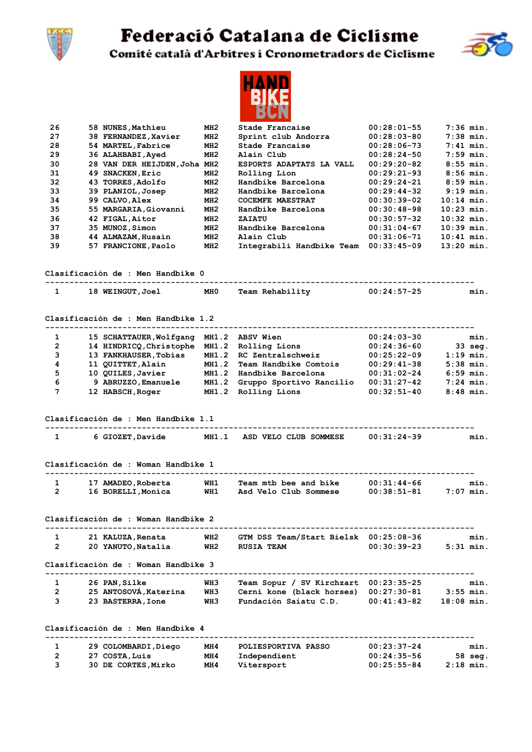

## Federació Catalana de Ciclisme



Comité català d'Arbitres i Cronometradors de Ciclisme



|                |                                             |                 | РИТ                                   |                 |              |
|----------------|---------------------------------------------|-----------------|---------------------------------------|-----------------|--------------|
| 26             | 58 NUNES, Mathieu                           | MH2             | Stade Francaise                       | $00:28:01-55$   | $7:36$ min.  |
| 27             | 38 FERNANDEZ, Xavier                        | MH <sub>2</sub> | Sprint club Andorra                   | $00:28:03-80$   | $7:38$ min.  |
| 28             | 54 MARTEL, Fabrice                          | MH <sub>2</sub> | Stade Francaise                       | $00:28:06-73$   | $7:41$ min.  |
| 29             | 36 ALAHBABI, Ayed                           | MH <sub>2</sub> | Alain Club                            | $00:28:24-50$   | $7:59$ min.  |
| 30             | 28 VAN DER HEIJDEN, Joha MH2                |                 | ESPORTS ADAPTATS LA VALL              | $00:29:20-82$   | $8:55$ min.  |
| 31             | 49 SNACKEN, Eric                            | MH2             | Rolling Lion                          | $00:29:21-93$   | $8:56$ min.  |
| 32             | 43 TORRES, Adolfo                           | MH <sub>2</sub> | Handbike Barcelona                    | $00:29:24-21$   | $8:59$ min.  |
| 33             | 39 PLANIOL, Josep                           | MH <sub>2</sub> | Handbike Barcelona                    | $00:29:44-32$   | $9:19$ min.  |
| 34             | 99 CALVO, Alex                              | MI2             | COCEMFE MAESTRAT                      | $00:30:39-02$   | $10:14$ min. |
| 35             | 55 MARGARIA, Giovanni                       | MI2             | Handbike Barcelona                    | $00:30:48-98$   | $10:23$ min. |
| 36             | 42 FIGAL, Aitor                             | MH <sub>2</sub> | ZAIATU                                | $00:30:57-32$   | $10:32$ min. |
| 37             | 35 MUNOZ, Simon                             | MI2             | Handbike Barcelona                    | $00:31:04-67$   | $10:39$ min. |
| 38             | 44 ALMAZAM, Husain                          | MI2             | Alain Club                            | $00:31:06-71$   | $10:41$ min. |
| 39             | 57 FRANCIONE, Paolo                         | MI2             | Integrabili Handbike Team 00:33:45-09 |                 | $13:20$ min. |
|                | Clasificación de : Men Handbike O           |                 |                                       |                 |              |
|                |                                             |                 |                                       |                 |              |
| 1              | 18 WEINGUT, Joel                            | MH 0            | Team Rehability                       | $00:24:57-25$   | min.         |
|                | Clasificación de : Men Handbike 1.2         |                 |                                       |                 |              |
|                | --------------------                        |                 |                                       |                 |              |
| 1              | 15 SCHATTAUER, Wolfgang                     |                 | MH1.2 ABSV Wien                       | $00:24:03-30$   | min.         |
| $\overline{2}$ | 14 HINDRICQ, Christophe MH1.2 Rolling Lions |                 |                                       | $00:24:36-60$   | 33 seg.      |
| 3              | 13 FANKHAUSER, Tobias                       | MH1.2           | RC Zentralschweiz                     | $00:25:22-09$   | $1:19$ min.  |
| 4              | 11 QUITTET, Alain                           | MH1.2           | Team Handbike Comtois                 | $00:29:41-38$   | $5:38$ min.  |
| 5              | 10 QUILES, Javier                           |                 | MH1.2 Handbike Barcelona              | $00:31:02-24$   | $6:59$ min.  |
| 6              | 9 ABRUZZO, Emanuele                         | MH1.2           | Gruppo Sportivo Rancilio              | $00:31:27-42$   | $7:24$ min.  |
| 7              | 12 HABSCH, Roger                            | MH1.2           | Rolling Lions                         | $00:32:51-40$   | $8:48$ min.  |
|                |                                             |                 |                                       |                 |              |
|                | Clasificación de : Men Handbike 1.1         |                 |                                       |                 |              |
| $\mathbf{1}$   | 6 GIOZET, Davide                            |                 | MH1.1 ASD VELO CLUB SOMMESE           | 00:31:24-39     | min.         |
|                |                                             |                 |                                       |                 |              |
|                | Clasificación de : Woman Handbike 1         |                 |                                       |                 |              |
| 1              | 17 AMADEO, Roberta                          | WH1             | Team mtb bee and bike                 | $00:31:44-66$   | min.         |
| $\overline{2}$ | 16 BORELLI, Monica                          | WH1             | Asd Velo Club Sommese                 | $00:38:51-81$   | $7:07$ min.  |
|                |                                             |                 |                                       |                 |              |
|                | Clasificación de : Woman Handbike 2         |                 |                                       |                 |              |
| 1              | 21 KALUZA, Renata                           | WH2             | GTM DSS Team/Start Bielsk 00:25:08-36 |                 | min.         |
| 2              | 20 YANUTO,Natalia                           | WH2             | <b>RUSIA TEAM</b>                     | $00:30:39-23$   | $5:31$ min.  |
|                | Clasificación de : Woman Handbike 3         |                 |                                       |                 |              |
| 1              | 26 PAN, Silke                               | WH3             | Team Sopur / SV Kirchzart 00:23:35-25 |                 | min.         |
| $\overline{2}$ | 25 ANTOSOVÁ, Katerina                       | WH3             | Cerni kone (black horses)             | 00:27:30-81     | $3:55$ min.  |
| 3              | 23 BASTERRA, Ione                           | WH3             | Fundación Saiatu C.D.                 | $00:41:43-82$   | 18:08 min.   |
|                |                                             |                 |                                       |                 |              |
|                | Clasificación de : Men Handbike 4           |                 |                                       |                 |              |
| 1              | 29 COLOMBARDI, Diego                        | MH 4            | POLIESPORTIVA PASSO                   | $00:23:37-24$   | min.         |
| $\mathbf{2}$   | 27 COSTA, Luis                              | MH 4            | Independient                          | $00:24:35-56$   | 58 seg.      |
| з              | 30 DE CORTES,Mirko                          | MH 4            | Vitersport                            | $00:25:55 - 84$ | $2:18$ min.  |
|                |                                             |                 |                                       |                 |              |